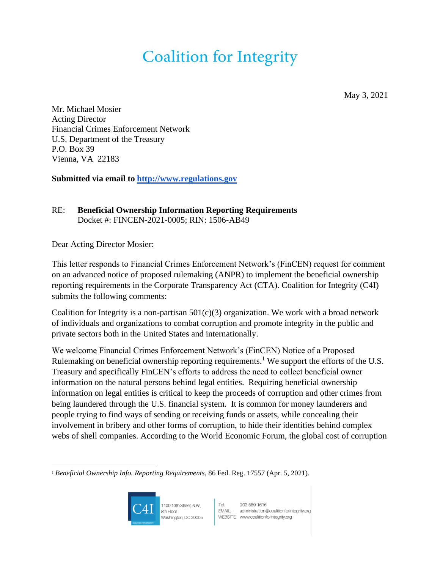May 3, 2021

Mr. Michael Mosier Acting Director Financial Crimes Enforcement Network U.S. Department of the Treasury P.O. Box 39 Vienna, VA 22183

**Submitted via email to [http://www.regulations.gov](http://www.regulations.gov/)**

### RE: **Beneficial Ownership Information Reporting Requirements** Docket #: FINCEN-2021-0005; RIN: 1506-AB49

Dear Acting Director Mosier:

This letter responds to Financial Crimes Enforcement Network's (FinCEN) request for comment on an advanced notice of proposed rulemaking (ANPR) to implement the beneficial ownership reporting requirements in the Corporate Transparency Act (CTA). Coalition for Integrity (C4I) submits the following comments:

Coalition for Integrity is a non-partisan  $501(c)(3)$  organization. We work with a broad network of individuals and organizations to combat corruption and promote integrity in the public and private sectors both in the United States and internationally.

We welcome Financial Crimes Enforcement Network's (FinCEN) Notice of a Proposed Rulemaking on beneficial ownership reporting requirements.<sup>1</sup> We support the efforts of the U.S. Treasury and specifically FinCEN's efforts to address the need to collect beneficial owner information on the natural persons behind legal entities. Requiring beneficial ownership information on legal entities is critical to keep the proceeds of corruption and other crimes from being laundered through the U.S. financial system. It is common for money launderers and people trying to find ways of sending or receiving funds or assets, while concealing their involvement in bribery and other forms of corruption, to hide their identities behind complex webs of shell companies. According to the World Economic Forum, the global cost of corruption

<sup>1</sup> *Beneficial Ownership Info. Reporting Requirements*, 86 Fed. Reg. 17557 (Apr. 5, 2021).



1100 13th Street, N.W., 8th Floor Washington, DC 20005

Tet 202-589-1616<br>EMAIL: administration@coalitionforintegrity.org WEBSITE: www.coalitionforintegrity.org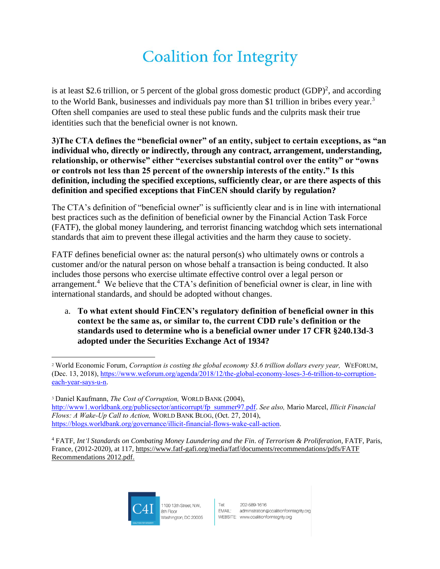is at least \$2.6 trillion, or 5 percent of the global gross domestic product  $(GDP)^2$ , and according to the World Bank, businesses and individuals pay more than \$1 trillion in bribes every year.<sup>3</sup> Often shell companies are used to steal these public funds and the culprits mask their true identities such that the beneficial owner is not known.

**3)The CTA defines the "beneficial owner" of an entity, subject to certain exceptions, as "an individual who, directly or indirectly, through any contract, arrangement, understanding, relationship, or otherwise" either "exercises substantial control over the entity" or "owns or controls not less than 25 percent of the ownership interests of the entity." Is this definition, including the specified exceptions, sufficiently clear, or are there aspects of this definition and specified exceptions that FinCEN should clarify by regulation?**

The CTA's definition of "beneficial owner" is sufficiently clear and is in line with international best practices such as the definition of beneficial owner by the Financial Action Task Force (FATF), the global money laundering, and terrorist financing watchdog which sets international standards that aim to prevent these illegal activities and the harm they cause to society.

FATF defines beneficial owner as: the natural person(s) who ultimately owns or controls a customer and/or the natural person on whose behalf a transaction is being conducted. It also includes those persons who exercise ultimate effective control over a legal person or arrangement.<sup>4</sup> We believe that the CTA's definition of beneficial owner is clear, in line with international standards, and should be adopted without changes.

a. **To what extent should FinCEN's regulatory definition of beneficial owner in this context be the same as, or similar to, the current CDD rule's definition or the standards used to determine who is a beneficial owner under 17 CFR §240.13d-3 adopted under the Securities Exchange Act of 1934?**

<sup>3</sup> Daniel Kaufmann, *The Cost of Corruption,* WORLD BANK (2004), [http://www1.worldbank.org/publicsector/anticorrupt/fp\\_summer97.pdf.](http://www1.worldbank.org/publicsector/anticorrupt/fp_summer97.pdf) *See also,* Mario Marcel, *Illicit Financial Flows: A Wake-Up Call to Action,* WORLD BANK BLOG, (Oct. 27, 2014), [https://blogs.worldbank.org/governance/illicit-financial-flows-wake-call-action.](https://blogs.worldbank.org/governance/illicit-financial-flows-wake-call-action)

<sup>4</sup> FATF, *Int'l Standards on Combating Money Laundering and the Fin. of Terrorism & Proliferation*, FATF, Paris, France, (2012-2020), at 117, [https://www.fatf-gafi.org/media/fatf/documents/recommendations/pdfs/FATF](https://www.fatf-gafi.org/media/fatf/documents/recommendations/pdfs/FATF%20Recommendations%202012.pdf)  [Recommendations 2012.pdf.](https://www.fatf-gafi.org/media/fatf/documents/recommendations/pdfs/FATF%20Recommendations%202012.pdf)



<sup>2</sup> World Economic Forum, *Corruption is costing the global economy \$3.6 trillion dollars every year,* WEFORUM, (Dec. 13, 2018), [https://www.weforum.org/agenda/2018/12/the-global-economy-loses-3-6-trillion-to-corruption](https://www.weforum.org/agenda/2018/12/the-global-economy-loses-3-6-trillion-to-corruption-each-year-says-u-n)[each-year-says-u-n.](https://www.weforum.org/agenda/2018/12/the-global-economy-loses-3-6-trillion-to-corruption-each-year-says-u-n)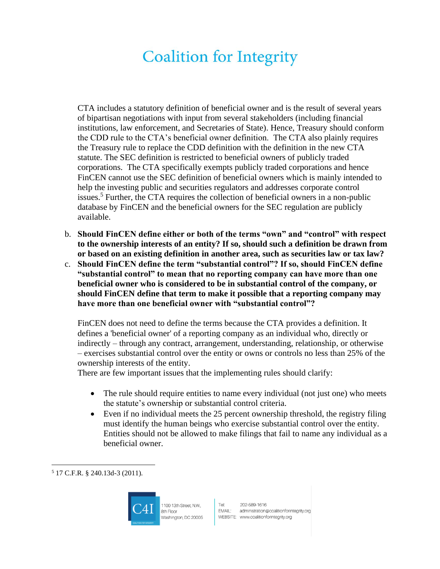CTA includes a statutory definition of beneficial owner and is the result of several years of bipartisan negotiations with input from several stakeholders (including financial institutions, law enforcement, and Secretaries of State). Hence, Treasury should conform the CDD rule to the CTA's beneficial owner definition. The CTA also plainly requires the Treasury rule to replace the CDD definition with the definition in the new CTA statute. The SEC definition is restricted to beneficial owners of publicly traded corporations. The CTA specifically exempts publicly traded corporations and hence FinCEN cannot use the SEC definition of beneficial owners which is mainly intended to help the investing public and securities regulators and addresses corporate control issues.<sup>5</sup> Further, the CTA requires the collection of beneficial owners in a non-public database by FinCEN and the beneficial owners for the SEC regulation are publicly available.

- b. **Should FinCEN define either or both of the terms "own" and "control" with respect to the ownership interests of an entity? If so, should such a definition be drawn from or based on an existing definition in another area, such as securities law or tax law?**
- c. **Should FinCEN define the term "substantial control"? If so, should FinCEN define "substantial control" to mean that no reporting company can have more than one beneficial owner who is considered to be in substantial control of the company, or should FinCEN define that term to make it possible that a reporting company may have more than one beneficial owner with "substantial control"?**

FinCEN does not need to define the terms because the CTA provides a definition. It defines a 'beneficial owner' of a reporting company as an individual who, directly or indirectly – through any contract, arrangement, understanding, relationship, or otherwise – exercises substantial control over the entity or owns or controls no less than 25% of the ownership interests of the entity.

There are few important issues that the implementing rules should clarify:

- The rule should require entities to name every individual (not just one) who meets the statute's ownership or substantial control criteria.
- Even if no individual meets the 25 percent ownership threshold, the registry filing must identify the human beings who exercise substantial control over the entity. Entities should not be allowed to make filings that fail to name any individual as a beneficial owner.

<sup>5</sup> 17 C.F.R. § 240.13d-3 (2011).



1100 13th Street, N.W., 8th Floor Washington, DC 20005 Tel: 202-589-1616<br>EMAIL: administration@coalitionforintegrity.org WEBSITE: www.coalitionforintegrity.org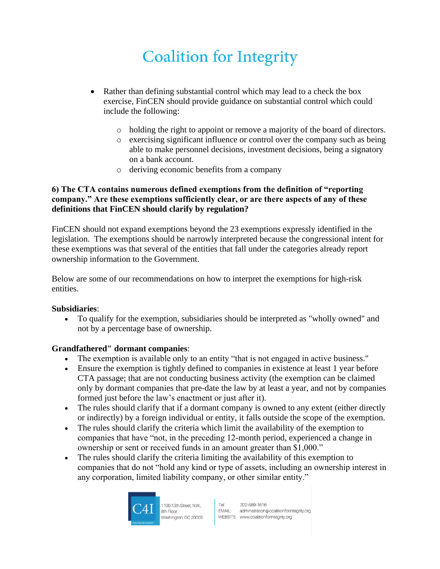- Rather than defining substantial control which may lead to a check the box exercise, FinCEN should provide guidance on substantial control which could include the following:
	- o holding the right to appoint or remove a majority of the board of directors.
	- o exercising significant influence or control over the company such as being able to make personnel decisions, investment decisions, being a signatory on a bank account.
	- o deriving economic benefits from a company

#### **6) The CTA contains numerous defined exemptions from the definition of "reporting company." Are these exemptions sufficiently clear, or are there aspects of any of these definitions that FinCEN should clarify by regulation?**

FinCEN should not expand exemptions beyond the 23 exemptions expressly identified in the legislation. The exemptions should be narrowly interpreted because the congressional intent for these exemptions was that several of the entities that fall under the categories already report ownership information to the Government.

Below are some of our recommendations on how to interpret the exemptions for high-risk entities.

#### **Subsidiaries**:

• To qualify for the exemption, subsidiaries should be interpreted as "wholly owned" and not by a percentage base of ownership.

#### **Grandfathered" dormant companies**:

- The exemption is available only to an entity "that is not engaged in active business."
- Ensure the exemption is tightly defined to companies in existence at least 1 year before CTA passage; that are not conducting business activity (the exemption can be claimed only by dormant companies that pre-date the law by at least a year, and not by companies formed just before the law's enactment or just after it).
- The rules should clarify that if a dormant company is owned to any extent (either directly or indirectly) by a foreign individual or entity, it falls outside the scope of the exemption.
- The rules should clarify the criteria which limit the availability of the exemption to companies that have "not, in the preceding 12-month period, experienced a change in ownership or sent or received funds in an amount greater than \$1,000."
- The rules should clarify the criteria limiting the availability of this exemption to companies that do not "hold any kind or type of assets, including an ownership interest in any corporation, limited liability company, or other similar entity."



1100 13th Street, N.W., 8th Floor Washington, DC 20005 Tel: 202-589-1616<br>EMAIL: administration@coalitionforintegrity.org WEBSITE: www.coalitionforintegrity.org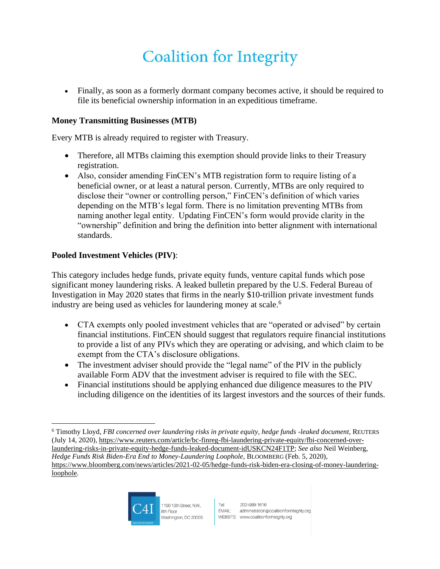• Finally, as soon as a formerly dormant company becomes active, it should be required to file its beneficial ownership information in an expeditious timeframe.

#### **Money Transmitting Businesses (MTB)**

Every MTB is already required to register with Treasury.

- Therefore, all MTBs claiming this exemption should provide links to their Treasury registration.
- Also, consider amending FinCEN's MTB registration form to require listing of a beneficial owner, or at least a natural person. Currently, MTBs are only required to disclose their "owner or controlling person," FinCEN's definition of which varies depending on the MTB's legal form. There is no limitation preventing MTBs from naming another legal entity. Updating FinCEN's form would provide clarity in the "ownership" definition and bring the definition into better alignment with international standards.

### **Pooled Investment Vehicles (PIV)**:

This category includes hedge funds, private equity funds, venture capital funds which pose significant money laundering risks. A leaked bulletin prepared by the U.S. Federal Bureau of Investigation in May 2020 states that firms in the nearly \$10-trillion private investment funds industry are being used as vehicles for laundering money at scale.<sup>6</sup>

- CTA exempts only pooled investment vehicles that are "operated or advised" by certain financial institutions. FinCEN should suggest that regulators require financial institutions to provide a list of any PIVs which they are operating or advising, and which claim to be exempt from the CTA's disclosure obligations.
- The investment adviser should provide the "legal name" of the PIV in the publicly available Form ADV that the investment adviser is required to file with the SEC.
- Financial institutions should be applying enhanced due diligence measures to the PIV including diligence on the identities of its largest investors and the sources of their funds.

<sup>6</sup> Timothy Lloyd, *FBI concerned over laundering risks in private equity, hedge funds -leaked document,* REUTERS (July 14, 2020), [https://www.reuters.com/article/bc-finreg-fbi-laundering-private-equity/fbi-concerned-over](https://www.reuters.com/article/bc-finreg-fbi-laundering-private-equity/fbi-concerned-over-laundering-risks-in-private-equity-hedge-funds-leaked-document-idUSKCN24F1TP)[laundering-risks-in-private-equity-hedge-funds-leaked-document-idUSKCN24F1TP;](https://www.reuters.com/article/bc-finreg-fbi-laundering-private-equity/fbi-concerned-over-laundering-risks-in-private-equity-hedge-funds-leaked-document-idUSKCN24F1TP) *See also* Neil Weinberg, *Hedge Funds Risk Biden-Era End to Money-Laundering Loophole,* BLOOMBERG (Feb. 5, 2020), [https://www.bloomberg.com/news/articles/2021-02-05/hedge-funds-risk-biden-era-closing-of-money-laundering](https://www.bloomberg.com/news/articles/2021-02-05/hedge-funds-risk-biden-era-closing-of-money-laundering-loophole)[loophole.](https://www.bloomberg.com/news/articles/2021-02-05/hedge-funds-risk-biden-era-closing-of-money-laundering-loophole)

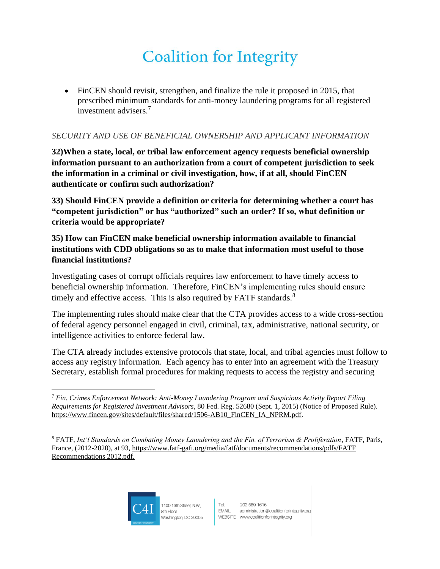• FinCEN should revisit, strengthen, and finalize the rule it proposed in 2015, that prescribed minimum standards for anti-money laundering programs for all registered investment advisers. 7

### *SECURITY AND USE OF BENEFICIAL OWNERSHIP AND APPLICANT INFORMATION*

**32)When a state, local, or tribal law enforcement agency requests beneficial ownership information pursuant to an authorization from a court of competent jurisdiction to seek the information in a criminal or civil investigation, how, if at all, should FinCEN authenticate or confirm such authorization?**

**33) Should FinCEN provide a definition or criteria for determining whether a court has "competent jurisdiction" or has "authorized" such an order? If so, what definition or criteria would be appropriate?**

**35) How can FinCEN make beneficial ownership information available to financial institutions with CDD obligations so as to make that information most useful to those financial institutions?**

Investigating cases of corrupt officials requires law enforcement to have timely access to beneficial ownership information. Therefore, FinCEN's implementing rules should ensure timely and effective access. This is also required by FATF standards.<sup>8</sup>

The implementing rules should make clear that the CTA provides access to a wide cross-section of federal agency personnel engaged in civil, criminal, tax, administrative, national security, or intelligence activities to enforce federal law.

The CTA already includes extensive protocols that state, local, and tribal agencies must follow to access any registry information. Each agency has to enter into an agreement with the Treasury Secretary, establish formal procedures for making requests to access the registry and securing



<sup>7</sup> *Fin. Crimes Enforcement Network: Anti-Money Laundering Program and Suspicious Activity Report Filing Requirements for Registered Investment Advisors*, 80 Fed. Reg. 52680 (Sept. 1, 2015) (Notice of Proposed Rule). [https://www.fincen.gov/sites/default/files/shared/1506-AB10\\_FinCEN\\_IA\\_NPRM.pdf.](https://www.fincen.gov/sites/default/files/shared/1506-AB10_FinCEN_IA_NPRM.pdf)

<sup>8</sup> FATF, *Int'l Standards on Combating Money Laundering and the Fin. of Terrorism & Proliferation*, FATF, Paris, France, (2012-2020), at 93, [https://www.fatf-gafi.org/media/fatf/documents/recommendations/pdfs/FATF](https://www.fatf-gafi.org/media/fatf/documents/recommendations/pdfs/FATF%20Recommendations%202012.pdf)  [Recommendations 2012.pdf.](https://www.fatf-gafi.org/media/fatf/documents/recommendations/pdfs/FATF%20Recommendations%202012.pdf)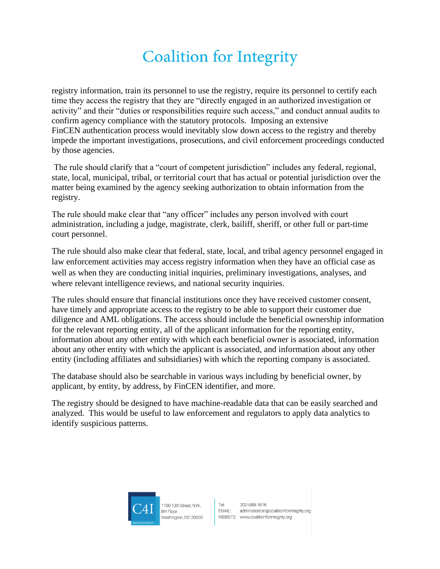registry information, train its personnel to use the registry, require its personnel to certify each time they access the registry that they are "directly engaged in an authorized investigation or activity" and their "duties or responsibilities require such access," and conduct annual audits to confirm agency compliance with the statutory protocols. Imposing an extensive FinCEN authentication process would inevitably slow down access to the registry and thereby impede the important investigations, prosecutions, and civil enforcement proceedings conducted by those agencies.

The rule should clarify that a "court of competent jurisdiction" includes any federal, regional, state, local, municipal, tribal, or territorial court that has actual or potential jurisdiction over the matter being examined by the agency seeking authorization to obtain information from the registry.

The rule should make clear that "any officer" includes any person involved with court administration, including a judge, magistrate, clerk, bailiff, sheriff, or other full or part-time court personnel.

The rule should also make clear that federal, state, local, and tribal agency personnel engaged in law enforcement activities may access registry information when they have an official case as well as when they are conducting initial inquiries, preliminary investigations, analyses, and where relevant intelligence reviews, and national security inquiries.

The rules should ensure that financial institutions once they have received customer consent, have timely and appropriate access to the registry to be able to support their customer due diligence and AML obligations. The access should include the beneficial ownership information for the relevant reporting entity, all of the applicant information for the reporting entity, information about any other entity with which each beneficial owner is associated, information about any other entity with which the applicant is associated, and information about any other entity (including affiliates and subsidiaries) with which the reporting company is associated.

The database should also be searchable in various ways including by beneficial owner, by applicant, by entity, by address, by FinCEN identifier, and more.

The registry should be designed to have machine-readable data that can be easily searched and analyzed. This would be useful to law enforcement and regulators to apply data analytics to identify suspicious patterns.



1100 13th Street, N.W. 8th Floor Washington, DC 20005 Tel: 202-589-1616<br>EMAIL: administration@coalitionforintegrity.org WEBSITE: www.coalitionforintegrity.org